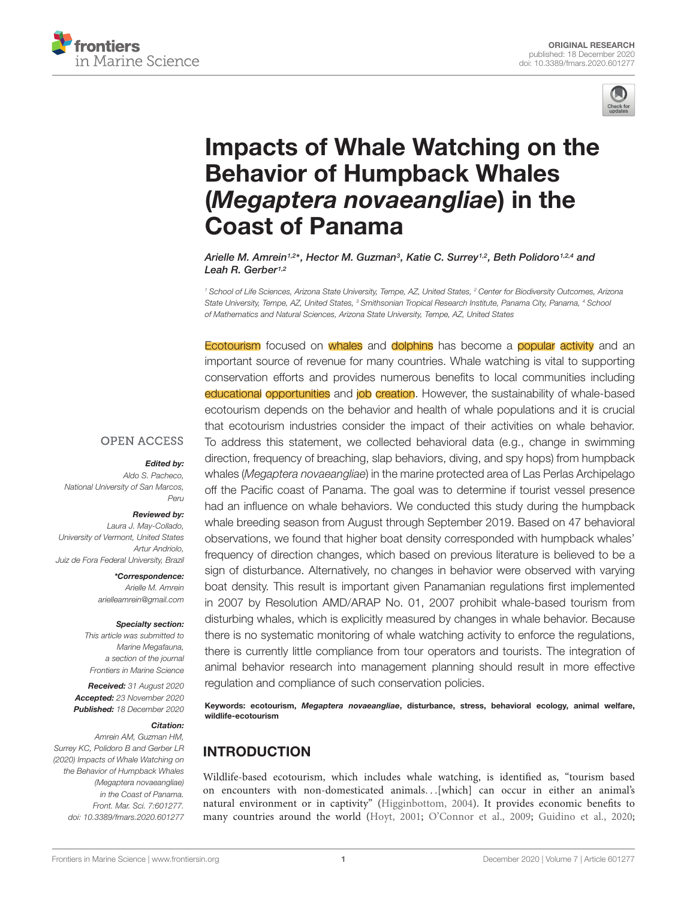



# [Impacts of Whale Watching on the](https://www.frontiersin.org/articles/10.3389/fmars.2020.601277/full) Behavior of Humpback Whales (Megaptera novaeangliae) in the Coast of Panama

Arielle M. Amrein1.2\*, Hector M. Guzman<sup>3</sup>, Katie C. Surrey1.2, Beth Polidoro1.2.4 and Leah R. Gerber<sup>1,2</sup>

<sup>1</sup> School of Life Sciences, Arizona State University, Tempe, AZ, United States, <sup>2</sup> Center for Biodiversity Outcomes, Arizona State University, Tempe, AZ, United States, <sup>3</sup> Smithsonian Tropical Research Institute, Panama City, Panama, <sup>4</sup> School of Mathematics and Natural Sciences, Arizona State University, Tempe, AZ, United States

Ecotourism focused on whales and dolphins has become a popular activity and an important source of revenue for many countries. Whale watching is vital to supporting conservation efforts and provides numerous benefits to local communities including educational opportunities and job creation. However, the sustainability of whale-based ecotourism depends on the behavior and health of whale populations and it is crucial that ecotourism industries consider the impact of their activities on whale behavior. To address this statement, we collected behavioral data (e.g., change in swimming direction, frequency of breaching, slap behaviors, diving, and spy hops) from humpback whales (Megaptera novaeangliae) in the marine protected area of Las Perlas Archipelago off the Pacific coast of Panama. The goal was to determine if tourist vessel presence had an influence on whale behaviors. We conducted this study during the humpback whale breeding season from August through September 2019. Based on 47 behavioral observations, we found that higher boat density corresponded with humpback whales' frequency of direction changes, which based on previous literature is believed to be a sign of disturbance. Alternatively, no changes in behavior were observed with varying boat density. This result is important given Panamanian regulations first implemented in 2007 by Resolution AMD/ARAP No. 01, 2007 prohibit whale-based tourism from disturbing whales, which is explicitly measured by changes in whale behavior. Because there is no systematic monitoring of whale watching activity to enforce the regulations, there is currently little compliance from tour operators and tourists. The integration of animal behavior research into management planning should result in more effective regulation and compliance of such conservation policies.

Keywords: ecotourism, Megaptera novaeangliae, disturbance, stress, behavioral ecology, animal welfare, wildlife-ecotourism

## INTRODUCTION

Wildlife-based ecotourism, which includes whale watching, is identified as, "tourism based on encounters with non-domesticated animals. . .[which] can occur in either an animal's natural environment or in captivity" [\(Higginbottom,](#page-11-0) [2004\)](#page-11-0). It provides economic benefits to many countries around the world [\(Hoyt,](#page-11-1) [2001;](#page-11-1) [O'Connor et al.,](#page-11-2) [2009;](#page-11-2) [Guidino et al.,](#page-10-0) [2020;](#page-10-0)

#### **OPEN ACCESS**

#### Edited by:

Aldo S. Pacheco, National University of San Marcos, Peru

#### Reviewed by:

Laura J. May-Collado, University of Vermont, United States Artur Andriolo, Juiz de Fora Federal University, Brazil

> \*Correspondence: Arielle M. Amrein arielleamrein@gmail.com

#### Specialty section:

This article was submitted to Marine Megafauna, a section of the journal Frontiers in Marine Science

Received: 31 August 2020 Accepted: 23 November 2020 Published: 18 December 2020

### Citation:

Amrein AM, Guzman HM, Surrey KC, Polidoro B and Gerber LR (2020) Impacts of Whale Watching on the Behavior of Humpback Whales (Megaptera novaeangliae) in the Coast of Panama. Front. Mar. Sci. 7:601277. doi: [10.3389/fmars.2020.601277](https://doi.org/10.3389/fmars.2020.601277)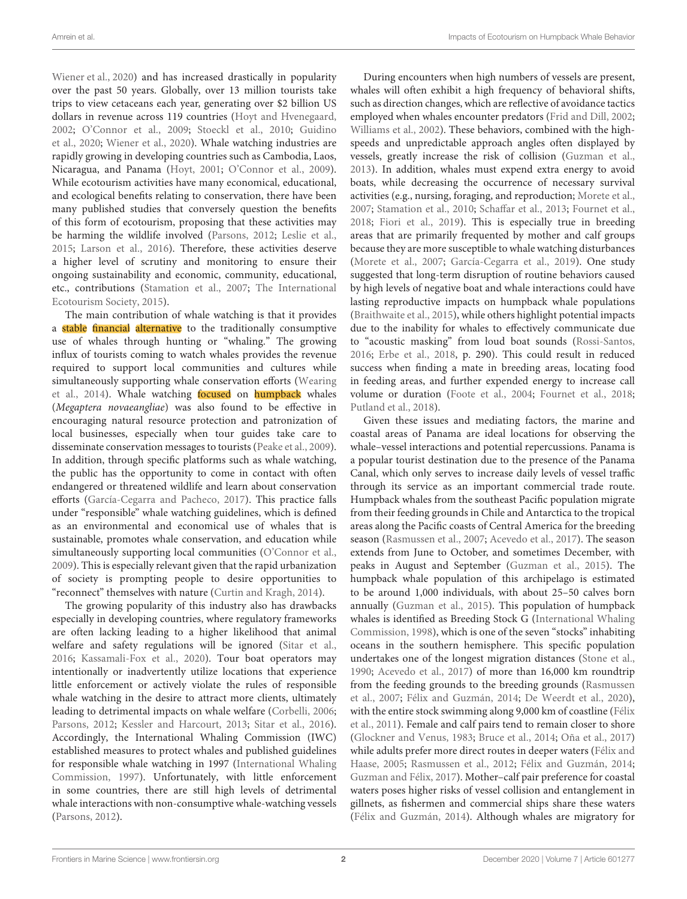[Wiener et al.,](#page-12-0) [2020\)](#page-12-0) and has increased drastically in popularity over the past 50 years. Globally, over 13 million tourists take trips to view cetaceans each year, generating over \$2 billion US dollars in revenue across 119 countries [\(Hoyt and Hvenegaard,](#page-11-3) [2002;](#page-11-3) [O'Connor et al.,](#page-11-2) [2009;](#page-11-2) [Stoeckl et al.,](#page-12-1) [2010;](#page-12-1) [Guidino](#page-10-0) [et al.,](#page-10-0) [2020;](#page-10-0) [Wiener et al.,](#page-12-0) [2020\)](#page-12-0). Whale watching industries are rapidly growing in developing countries such as Cambodia, Laos, Nicaragua, and Panama [\(Hoyt,](#page-11-1) [2001;](#page-11-1) [O'Connor et al.,](#page-11-2) [2009\)](#page-11-2). While ecotourism activities have many economical, educational, and ecological benefits relating to conservation, there have been many published studies that conversely question the benefits of this form of ecotourism, proposing that these activities may be harming the wildlife involved [\(Parsons,](#page-11-4) [2012;](#page-11-4) [Leslie et al.,](#page-11-5) [2015;](#page-11-5) [Larson et al.,](#page-11-6) [2016\)](#page-11-6). Therefore, these activities deserve a higher level of scrutiny and monitoring to ensure their ongoing sustainability and economic, community, educational, etc., contributions [\(Stamation et al.,](#page-12-2) [2007;](#page-12-2) [The International](#page-12-3) [Ecotourism Society,](#page-12-3) [2015\)](#page-12-3).

The main contribution of whale watching is that it provides a stable financial alternative to the traditionally consumptive use of whales through hunting or "whaling." The growing influx of tourists coming to watch whales provides the revenue required to support local communities and cultures while simultaneously supporting whale conservation efforts [\(Wearing](#page-12-4) [et al.,](#page-12-4) [2014\)](#page-12-4). Whale watching focused on humpback whales (Megaptera novaeangliae) was also found to be effective in encouraging natural resource protection and patronization of local businesses, especially when tour guides take care to disseminate conservation messages to tourists [\(Peake et al.,](#page-11-7) [2009\)](#page-11-7). In addition, through specific platforms such as whale watching, the public has the opportunity to come in contact with often endangered or threatened wildlife and learn about conservation efforts [\(García-Cegarra and Pacheco,](#page-10-1) [2017\)](#page-10-1). This practice falls under "responsible" whale watching guidelines, which is defined as an environmental and economical use of whales that is sustainable, promotes whale conservation, and education while simultaneously supporting local communities [\(O'Connor et al.,](#page-11-2) [2009\)](#page-11-2). This is especially relevant given that the rapid urbanization of society is prompting people to desire opportunities to "reconnect" themselves with nature [\(Curtin and Kragh,](#page-10-2) [2014\)](#page-10-2).

The growing popularity of this industry also has drawbacks especially in developing countries, where regulatory frameworks are often lacking leading to a higher likelihood that animal welfare and safety regulations will be ignored [\(Sitar et al.,](#page-12-5) [2016;](#page-12-5) [Kassamali-Fox et al.,](#page-11-8) [2020\)](#page-11-8). Tour boat operators may intentionally or inadvertently utilize locations that experience little enforcement or actively violate the rules of responsible whale watching in the desire to attract more clients, ultimately leading to detrimental impacts on whale welfare [\(Corbelli,](#page-10-3) [2006;](#page-10-3) [Parsons,](#page-11-4) [2012;](#page-11-4) [Kessler and Harcourt,](#page-11-9) [2013;](#page-11-9) [Sitar et al.,](#page-12-5) [2016\)](#page-12-5). Accordingly, the International Whaling Commission (IWC) established measures to protect whales and published guidelines for responsible whale watching in 1997 [\(International Whaling](#page-11-10) [Commission,](#page-11-10) [1997\)](#page-11-10). Unfortunately, with little enforcement in some countries, there are still high levels of detrimental whale interactions with non-consumptive whale-watching vessels [\(Parsons,](#page-11-4) [2012\)](#page-11-4).

During encounters when high numbers of vessels are present, whales will often exhibit a high frequency of behavioral shifts, such as direction changes, which are reflective of avoidance tactics employed when whales encounter predators [\(Frid and Dill,](#page-10-4) [2002;](#page-10-4) [Williams et al.,](#page-12-6) [2002\)](#page-12-6). These behaviors, combined with the highspeeds and unpredictable approach angles often displayed by vessels, greatly increase the risk of collision [\(Guzman et al.,](#page-11-11) [2013\)](#page-11-11). In addition, whales must expend extra energy to avoid boats, while decreasing the occurrence of necessary survival activities (e.g., nursing, foraging, and reproduction; [Morete et al.,](#page-11-12) [2007;](#page-11-12) [Stamation et al.,](#page-12-7) [2010;](#page-12-7) [Schaffar et al.,](#page-11-13) [2013;](#page-11-13) [Fournet et al.,](#page-10-5) [2018;](#page-10-5) [Fiori et al.,](#page-10-6) [2019\)](#page-10-6). This is especially true in breeding areas that are primarily frequented by mother and calf groups because they are more susceptible to whale watching disturbances [\(Morete et al.,](#page-11-12) [2007;](#page-11-12) [García-Cegarra et al.,](#page-10-7) [2019\)](#page-10-7). One study suggested that long-term disruption of routine behaviors caused by high levels of negative boat and whale interactions could have lasting reproductive impacts on humpback whale populations [\(Braithwaite et al.,](#page-10-8) [2015\)](#page-10-8), while others highlight potential impacts due to the inability for whales to effectively communicate due to "acoustic masking" from loud boat sounds [\(Rossi-Santos,](#page-11-14) [2016;](#page-11-14) [Erbe et al.,](#page-10-9) [2018,](#page-10-9) p. 290). This could result in reduced success when finding a mate in breeding areas, locating food in feeding areas, and further expended energy to increase call volume or duration [\(Foote et al.,](#page-10-10) [2004;](#page-10-10) [Fournet et al.,](#page-10-5) [2018;](#page-10-5) [Putland et al.,](#page-11-15) [2018\)](#page-11-15).

Given these issues and mediating factors, the marine and coastal areas of Panama are ideal locations for observing the whale–vessel interactions and potential repercussions. Panama is a popular tourist destination due to the presence of the Panama Canal, which only serves to increase daily levels of vessel traffic through its service as an important commercial trade route. Humpback whales from the southeast Pacific population migrate from their feeding grounds in Chile and Antarctica to the tropical areas along the Pacific coasts of Central America for the breeding season [\(Rasmussen et al.,](#page-11-16) [2007;](#page-11-16) [Acevedo et al.,](#page-10-11) [2017\)](#page-10-11). The season extends from June to October, and sometimes December, with peaks in August and September [\(Guzman et al.,](#page-11-17) [2015\)](#page-11-17). The humpback whale population of this archipelago is estimated to be around 1,000 individuals, with about 25–50 calves born annually [\(Guzman et al.,](#page-11-17) [2015\)](#page-11-17). This population of humpback whales is identified as Breeding Stock G [\(International Whaling](#page-11-18) [Commission,](#page-11-18) [1998\)](#page-11-18), which is one of the seven "stocks" inhabiting oceans in the southern hemisphere. This specific population undertakes one of the longest migration distances [\(Stone et al.,](#page-12-8) [1990;](#page-12-8) [Acevedo et al.,](#page-10-11) [2017\)](#page-10-11) of more than 16,000 km roundtrip from the feeding grounds to the breeding grounds [\(Rasmussen](#page-11-16) [et al.,](#page-11-16) [2007;](#page-11-16) [Félix and Guzmán,](#page-10-12) [2014;](#page-10-12) [De Weerdt et al.,](#page-10-13) [2020\)](#page-10-13), with the entire stock swimming along 9,000 km of coastline [\(Félix](#page-10-14) [et al.,](#page-10-14) [2011\)](#page-10-14). Female and calf pairs tend to remain closer to shore [\(Glockner and Venus,](#page-10-15) [1983;](#page-10-15) [Bruce et al.,](#page-10-16) [2014;](#page-10-16) [Oña et al.,](#page-11-19) [2017\)](#page-11-19) while adults prefer more direct routes in deeper waters [\(Félix and](#page-10-17) [Haase,](#page-10-17) [2005;](#page-10-17) [Rasmussen et al.,](#page-11-20) [2012;](#page-11-20) [Félix and Guzmán,](#page-10-12) [2014;](#page-10-12) [Guzman and Félix,](#page-11-21) [2017\)](#page-11-21). Mother–calf pair preference for coastal waters poses higher risks of vessel collision and entanglement in gillnets, as fishermen and commercial ships share these waters [\(Félix and Guzmán,](#page-10-12) [2014\)](#page-10-12). Although whales are migratory for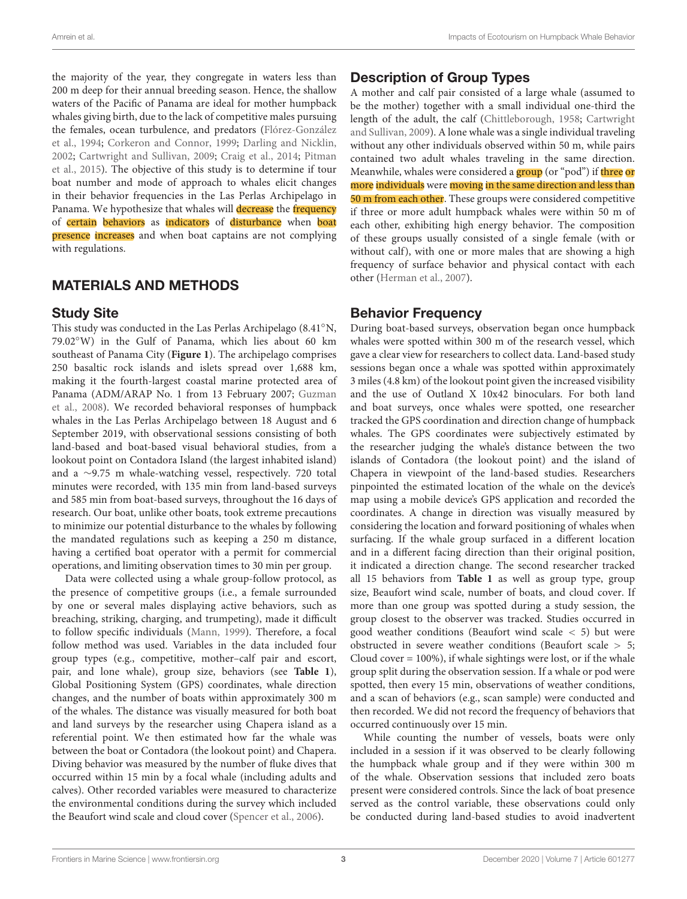the majority of the year, they congregate in waters less than 200 m deep for their annual breeding season. Hence, the shallow waters of the Pacific of Panama are ideal for mother humpback whales giving birth, due to the lack of competitive males pursuing the females, ocean turbulence, and predators [\(Flórez-González](#page-10-18) [et al.,](#page-10-18) [1994;](#page-10-18) [Corkeron and Connor,](#page-10-19) [1999;](#page-10-19) [Darling and Nicklin,](#page-10-20) [2002;](#page-10-20) [Cartwright and Sullivan,](#page-10-21) [2009;](#page-10-21) [Craig et al.,](#page-10-22) [2014;](#page-10-22) [Pitman](#page-11-22) [et al.,](#page-11-22) [2015\)](#page-11-22). The objective of this study is to determine if tour boat number and mode of approach to whales elicit changes in their behavior frequencies in the Las Perlas Archipelago in Panama. We hypothesize that whales will decrease the frequency of certain behaviors as indicators of disturbance when boat presence increases and when boat captains are not complying with regulations.

## MATERIALS AND METHODS

### Study Site

This study was conducted in the Las Perlas Archipelago (8.41◦N, 79.02◦W) in the Gulf of Panama, which lies about 60 km southeast of Panama City (**[Figure 1](#page-3-0)**). The archipelago comprises 250 basaltic rock islands and islets spread over 1,688 km, making it the fourth-largest coastal marine protected area of Panama (ADM/ARAP No. 1 from 13 February 2007; [Guzman](#page-11-23) [et al.,](#page-11-23) [2008\)](#page-11-23). We recorded behavioral responses of humpback whales in the Las Perlas Archipelago between 18 August and 6 September 2019, with observational sessions consisting of both land-based and boat-based visual behavioral studies, from a lookout point on Contadora Island (the largest inhabited island) and a ∼9.75 m whale-watching vessel, respectively. 720 total minutes were recorded, with 135 min from land-based surveys and 585 min from boat-based surveys, throughout the 16 days of research. Our boat, unlike other boats, took extreme precautions to minimize our potential disturbance to the whales by following the mandated regulations such as keeping a 250 m distance, having a certified boat operator with a permit for commercial operations, and limiting observation times to 30 min per group.

Data were collected using a whale group-follow protocol, as the presence of competitive groups (i.e., a female surrounded by one or several males displaying active behaviors, such as breaching, striking, charging, and trumpeting), made it difficult to follow specific individuals [\(Mann,](#page-11-24) [1999\)](#page-11-24). Therefore, a focal follow method was used. Variables in the data included four group types (e.g., competitive, mother–calf pair and escort, pair, and lone whale), group size, behaviors (see **[Table 1](#page-4-0)**), Global Positioning System (GPS) coordinates, whale direction changes, and the number of boats within approximately 300 m of the whales. The distance was visually measured for both boat and land surveys by the researcher using Chapera island as a referential point. We then estimated how far the whale was between the boat or Contadora (the lookout point) and Chapera. Diving behavior was measured by the number of fluke dives that occurred within 15 min by a focal whale (including adults and calves). Other recorded variables were measured to characterize the environmental conditions during the survey which included the Beaufort wind scale and cloud cover [\(Spencer et al.,](#page-12-9) [2006\)](#page-12-9).

# Description of Group Types

A mother and calf pair consisted of a large whale (assumed to be the mother) together with a small individual one-third the length of the adult, the calf [\(Chittleborough,](#page-10-23) [1958;](#page-10-23) [Cartwright](#page-10-21) [and Sullivan,](#page-10-21) [2009\)](#page-10-21). A lone whale was a single individual traveling without any other individuals observed within 50 m, while pairs contained two adult whales traveling in the same direction. Meanwhile, whales were considered a group (or "pod") if three or more individuals were moving in the same direction and less than 50 m from each other. These groups were considered competitive if three or more adult humpback whales were within 50 m of each other, exhibiting high energy behavior. The composition of these groups usually consisted of a single female (with or without calf), with one or more males that are showing a high frequency of surface behavior and physical contact with each other [\(Herman et al.,](#page-11-25) [2007\)](#page-11-25).

## Behavior Frequency

During boat-based surveys, observation began once humpback whales were spotted within 300 m of the research vessel, which gave a clear view for researchers to collect data. Land-based study sessions began once a whale was spotted within approximately 3 miles (4.8 km) of the lookout point given the increased visibility and the use of Outland X 10x42 binoculars. For both land and boat surveys, once whales were spotted, one researcher tracked the GPS coordination and direction change of humpback whales. The GPS coordinates were subjectively estimated by the researcher judging the whale's distance between the two islands of Contadora (the lookout point) and the island of Chapera in viewpoint of the land-based studies. Researchers pinpointed the estimated location of the whale on the device's map using a mobile device's GPS application and recorded the coordinates. A change in direction was visually measured by considering the location and forward positioning of whales when surfacing. If the whale group surfaced in a different location and in a different facing direction than their original position, it indicated a direction change. The second researcher tracked all 15 behaviors from **[Table 1](#page-4-0)** as well as group type, group size, Beaufort wind scale, number of boats, and cloud cover. If more than one group was spotted during a study session, the group closest to the observer was tracked. Studies occurred in good weather conditions (Beaufort wind scale  $\lt$  5) but were obstructed in severe weather conditions (Beaufort scale > 5; Cloud cover  $= 100\%$ ), if whale sightings were lost, or if the whale group split during the observation session. If a whale or pod were spotted, then every 15 min, observations of weather conditions, and a scan of behaviors (e.g., scan sample) were conducted and then recorded. We did not record the frequency of behaviors that occurred continuously over 15 min.

While counting the number of vessels, boats were only included in a session if it was observed to be clearly following the humpback whale group and if they were within 300 m of the whale. Observation sessions that included zero boats present were considered controls. Since the lack of boat presence served as the control variable, these observations could only be conducted during land-based studies to avoid inadvertent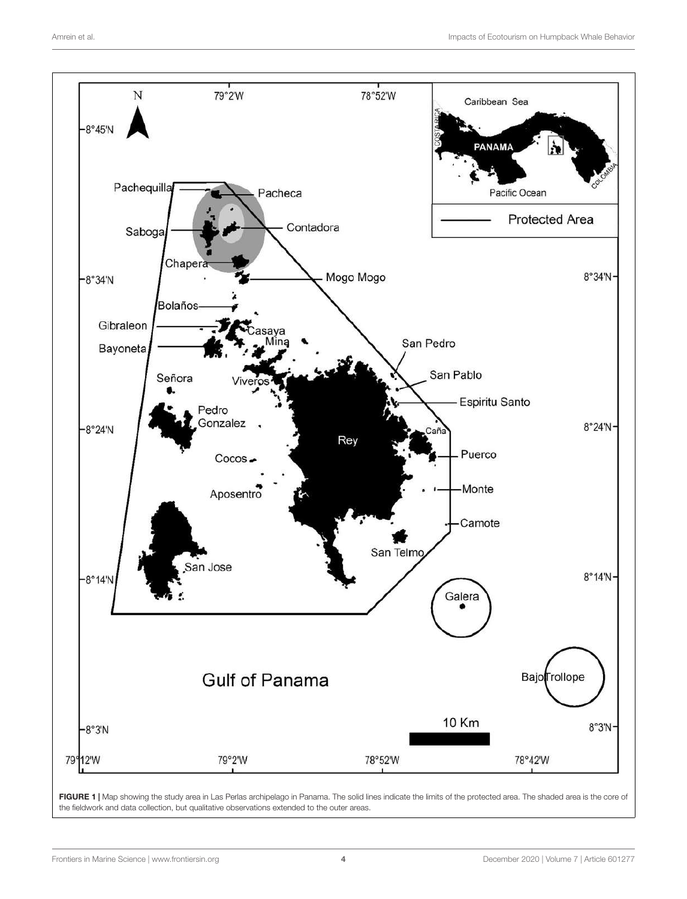

<span id="page-3-0"></span>FIGURE 1 | Map showing the study area in Las Perlas archipelago in Panama. The solid lines indicate the limits of the protected area. The shaded area is the core of the fieldwork and data collection, but qualitative observations extended to the outer areas.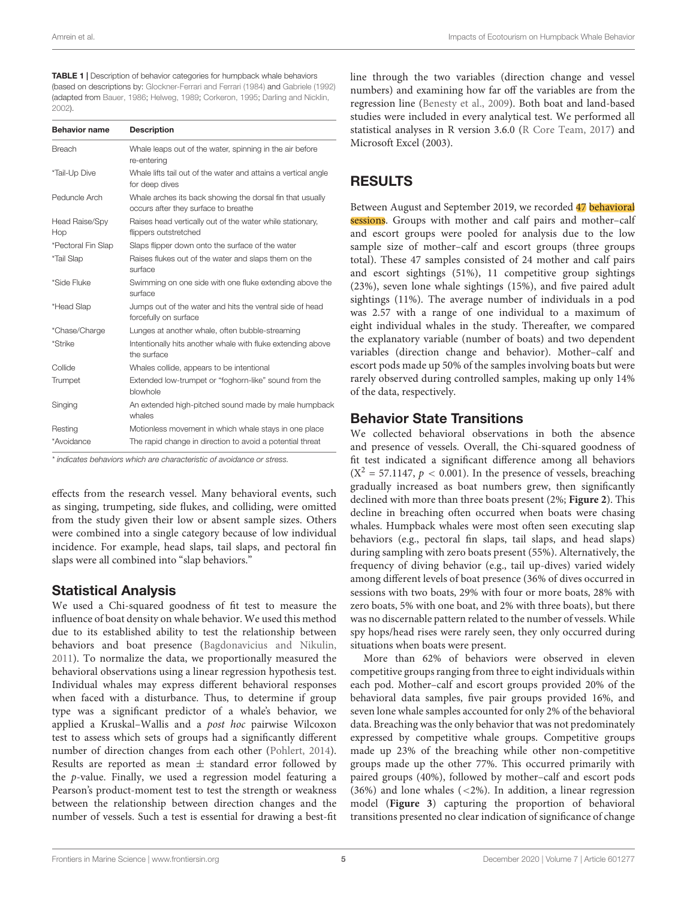#### <span id="page-4-0"></span>TABLE 1 | Description of behavior categories for humpback whale behaviors

(based on descriptions by: [Glockner-Ferrari and Ferrari](#page-10-24) [\(1984\)](#page-10-24) and [Gabriele](#page-10-25) [\(1992\)](#page-10-25) (adapted from [Bauer,](#page-10-26) [1986;](#page-10-26) [Helweg,](#page-11-26) [1989;](#page-11-26) [Corkeron,](#page-10-27) [1995;](#page-10-27) [Darling and Nicklin,](#page-10-20) [2002\)](#page-10-20).

| <b>Behavior name</b>         | <b>Description</b>                                                                                |  |
|------------------------------|---------------------------------------------------------------------------------------------------|--|
| <b>Breach</b>                | Whale leaps out of the water, spinning in the air before<br>re-entering                           |  |
| *Tail-Up Dive                | Whale lifts tail out of the water and attains a vertical angle<br>for deep dives                  |  |
| Peduncle Arch                | Whale arches its back showing the dorsal fin that usually<br>occurs after they surface to breathe |  |
| <b>Head Raise/Spy</b><br>Hop | Raises head vertically out of the water while stationary,<br>flippers outstretched                |  |
| *Pectoral Fin Slap           | Slaps flipper down onto the surface of the water                                                  |  |
| *Tail Slap                   | Raises flukes out of the water and slaps them on the<br>surface                                   |  |
| *Side Fluke                  | Swimming on one side with one fluke extending above the<br>surface                                |  |
| *Head Slap                   | Jumps out of the water and hits the ventral side of head<br>forcefully on surface                 |  |
| *Chase/Charge                | Lunges at another whale, often bubble-streaming                                                   |  |
| *Strike                      | Intentionally hits another whale with fluke extending above<br>the surface                        |  |
| Collide                      | Whales collide, appears to be intentional                                                         |  |
| Trumpet                      | Extended low-trumpet or "foghorn-like" sound from the<br>blowhole                                 |  |
| Singing                      | An extended high-pitched sound made by male humpback<br>whales                                    |  |
| Resting                      | Motionless movement in which whale stays in one place                                             |  |
| *Avoidance                   | The rapid change in direction to avoid a potential threat                                         |  |

\* indicates behaviors which are characteristic of avoidance or stress.

effects from the research vessel. Many behavioral events, such as singing, trumpeting, side flukes, and colliding, were omitted from the study given their low or absent sample sizes. Others were combined into a single category because of low individual incidence. For example, head slaps, tail slaps, and pectoral fin slaps were all combined into "slap behaviors."

### Statistical Analysis

We used a Chi-squared goodness of fit test to measure the influence of boat density on whale behavior. We used this method due to its established ability to test the relationship between behaviors and boat presence [\(Bagdonavicius and Nikulin,](#page-10-28) [2011\)](#page-10-28). To normalize the data, we proportionally measured the behavioral observations using a linear regression hypothesis test. Individual whales may express different behavioral responses when faced with a disturbance. Thus, to determine if group type was a significant predictor of a whale's behavior, we applied a Kruskal–Wallis and a post hoc pairwise Wilcoxon test to assess which sets of groups had a significantly different number of direction changes from each other [\(Pohlert,](#page-11-27) [2014\)](#page-11-27). Results are reported as mean  $\pm$  standard error followed by the p-value. Finally, we used a regression model featuring a Pearson's product-moment test to test the strength or weakness between the relationship between direction changes and the number of vessels. Such a test is essential for drawing a best-fit

line through the two variables (direction change and vessel numbers) and examining how far off the variables are from the regression line [\(Benesty et al.,](#page-10-29) [2009\)](#page-10-29). Both boat and land-based studies were included in every analytical test. We performed all statistical analyses in R version 3.6.0 [\(R Core Team,](#page-11-28) [2017\)](#page-11-28) and Microsoft Excel (2003).

# RESULTS

Between August and September 2019, we recorded 47 behavioral sessions. Groups with mother and calf pairs and mother-calf and escort groups were pooled for analysis due to the low sample size of mother–calf and escort groups (three groups total). These 47 samples consisted of 24 mother and calf pairs and escort sightings (51%), 11 competitive group sightings (23%), seven lone whale sightings (15%), and five paired adult sightings (11%). The average number of individuals in a pod was 2.57 with a range of one individual to a maximum of eight individual whales in the study. Thereafter, we compared the explanatory variable (number of boats) and two dependent variables (direction change and behavior). Mother–calf and escort pods made up 50% of the samples involving boats but were rarely observed during controlled samples, making up only 14% of the data, respectively.

### Behavior State Transitions

We collected behavioral observations in both the absence and presence of vessels. Overall, the Chi-squared goodness of fit test indicated a significant difference among all behaviors  $(X^2 = 57.1147, p < 0.001)$ . In the presence of vessels, breaching gradually increased as boat numbers grew, then significantly declined with more than three boats present (2%; **[Figure 2](#page-5-0)**). This decline in breaching often occurred when boats were chasing whales. Humpback whales were most often seen executing slap behaviors (e.g., pectoral fin slaps, tail slaps, and head slaps) during sampling with zero boats present (55%). Alternatively, the frequency of diving behavior (e.g., tail up-dives) varied widely among different levels of boat presence (36% of dives occurred in sessions with two boats, 29% with four or more boats, 28% with zero boats, 5% with one boat, and 2% with three boats), but there was no discernable pattern related to the number of vessels. While spy hops/head rises were rarely seen, they only occurred during situations when boats were present.

More than 62% of behaviors were observed in eleven competitive groups ranging from three to eight individuals within each pod. Mother–calf and escort groups provided 20% of the behavioral data samples, five pair groups provided 16%, and seven lone whale samples accounted for only 2% of the behavioral data. Breaching was the only behavior that was not predominately expressed by competitive whale groups. Competitive groups made up 23% of the breaching while other non-competitive groups made up the other 77%. This occurred primarily with paired groups (40%), followed by mother–calf and escort pods (36%) and lone whales (<2%). In addition, a linear regression model (**[Figure 3](#page-5-1)**) capturing the proportion of behavioral transitions presented no clear indication of significance of change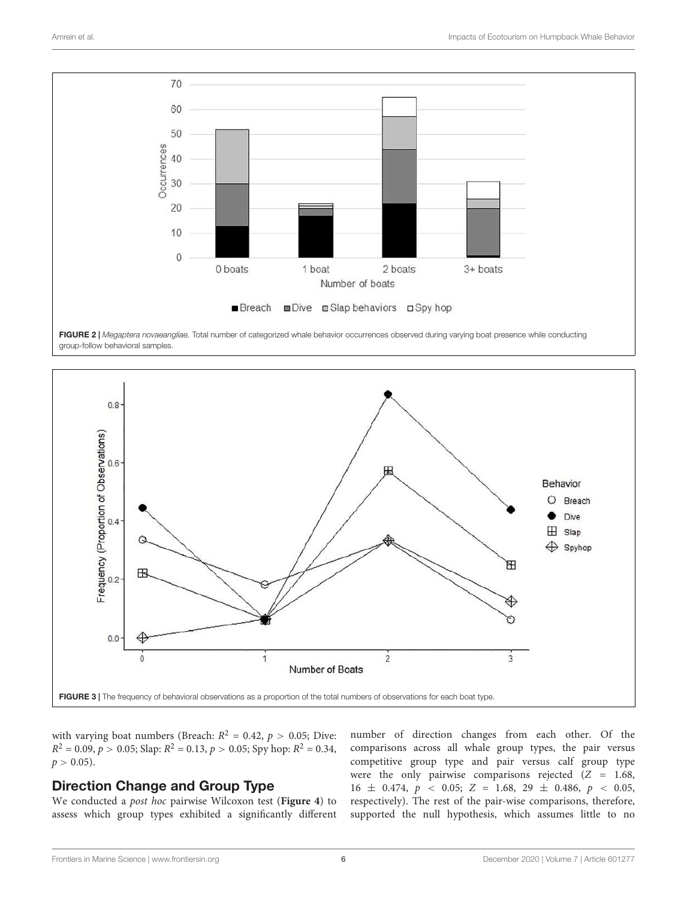

<span id="page-5-0"></span>FIGURE 2 | Megaptera novaeangliae. Total number of categorized whale behavior occurrences observed during varying boat presence while conducting group-follow behavioral samples.



<span id="page-5-1"></span>with varying boat numbers (Breach:  $R^2 = 0.42$ ,  $p > 0.05$ ; Dive:  $R^2 = 0.09, p > 0.05;$  Slap:  $R^2 = 0.13, p > 0.05;$  Spy hop:  $R^2 = 0.34$ ,  $p > 0.05$ ).

### Direction Change and Group Type

We conducted a post hoc pairwise Wilcoxon test (**[Figure 4](#page-6-0)**) to assess which group types exhibited a significantly different number of direction changes from each other. Of the comparisons across all whale group types, the pair versus competitive group type and pair versus calf group type were the only pairwise comparisons rejected  $(Z = 1.68,$  $16 \pm 0.474$ ,  $p \lt 0.05$ ;  $Z = 1.68$ ,  $29 \pm 0.486$ ,  $p \lt 0.05$ , respectively). The rest of the pair-wise comparisons, therefore, supported the null hypothesis, which assumes little to no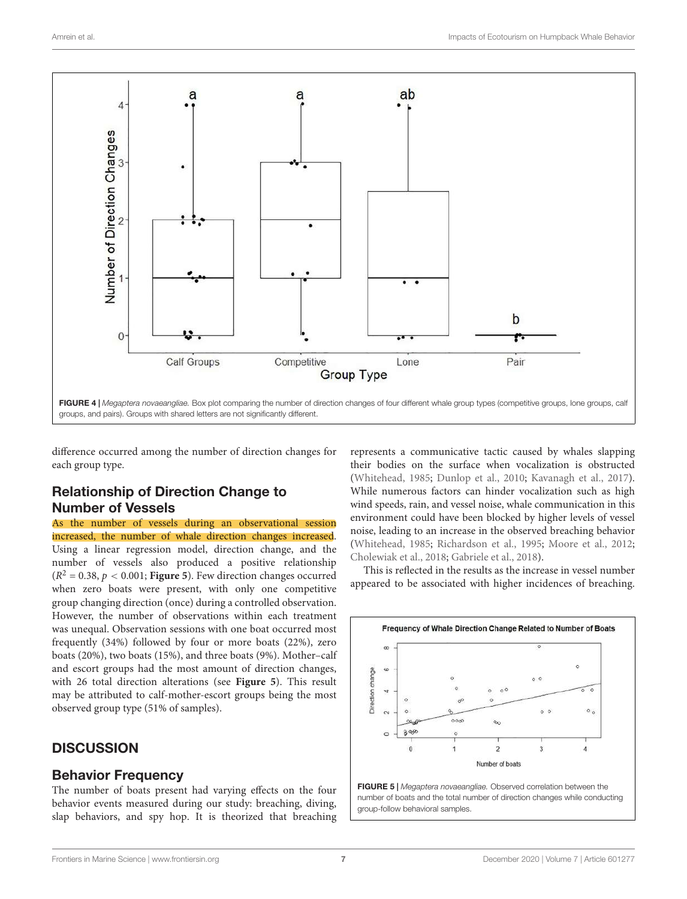

<span id="page-6-0"></span>difference occurred among the number of direction changes for each group type.

### Relationship of Direction Change to Number of Vessels

As the number of vessels during an observational session increased, the number of whale direction changes increased. Using a linear regression model, direction change, and the number of vessels also produced a positive relationship  $(R^2 = 0.38, p < 0.001;$  **[Figure 5](#page-6-1)**). Few direction changes occurred when zero boats were present, with only one competitive group changing direction (once) during a controlled observation. However, the number of observations within each treatment was unequal. Observation sessions with one boat occurred most frequently (34%) followed by four or more boats (22%), zero boats (20%), two boats (15%), and three boats (9%). Mother–calf and escort groups had the most amount of direction changes, with 26 total direction alterations (see **[Figure 5](#page-6-1)**). This result may be attributed to calf-mother-escort groups being the most observed group type (51% of samples).

### **DISCUSSION**

### Behavior Frequency

The number of boats present had varying effects on the four behavior events measured during our study: breaching, diving, slap behaviors, and spy hop. It is theorized that breaching represents a communicative tactic caused by whales slapping their bodies on the surface when vocalization is obstructed [\(Whitehead,](#page-12-10) [1985;](#page-12-10) [Dunlop et al.,](#page-10-30) [2010;](#page-10-30) [Kavanagh et al.,](#page-11-29) [2017\)](#page-11-29). While numerous factors can hinder vocalization such as high wind speeds, rain, and vessel noise, whale communication in this environment could have been blocked by higher levels of vessel noise, leading to an increase in the observed breaching behavior [\(Whitehead,](#page-12-10) [1985;](#page-12-10) [Richardson et al.,](#page-11-30) [1995;](#page-11-30) [Moore et al.,](#page-11-31) [2012;](#page-11-31) [Cholewiak et al.,](#page-10-31) [2018;](#page-10-31) [Gabriele et al.,](#page-10-32) [2018\)](#page-10-32).

This is reflected in the results as the increase in vessel number appeared to be associated with higher incidences of breaching.



<span id="page-6-1"></span>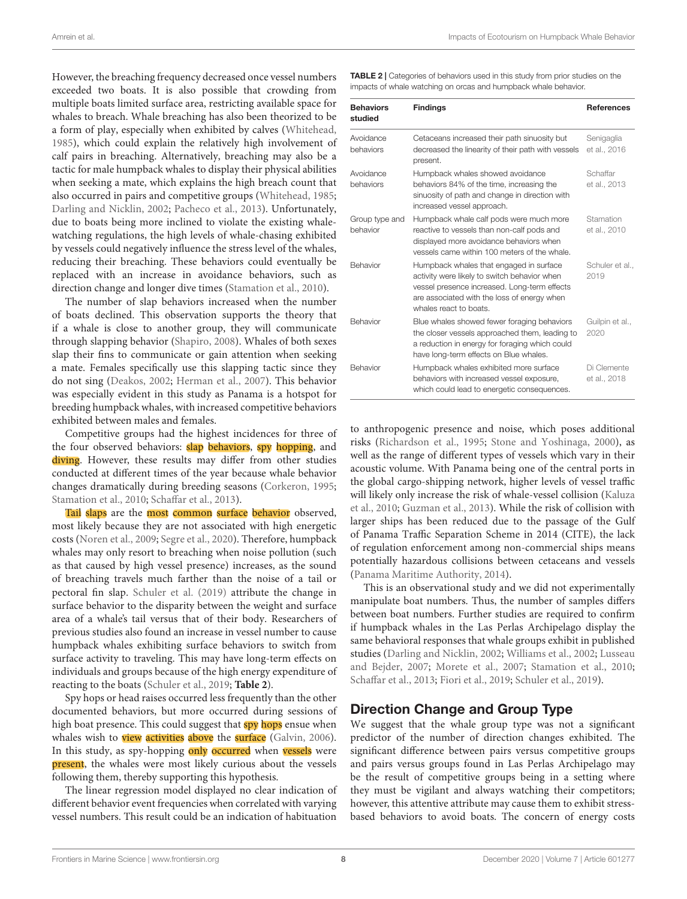However, the breaching frequency decreased once vessel numbers exceeded two boats. It is also possible that crowding from multiple boats limited surface area, restricting available space for whales to breach. Whale breaching has also been theorized to be a form of play, especially when exhibited by calves [\(Whitehead,](#page-12-10) [1985\)](#page-12-10), which could explain the relatively high involvement of calf pairs in breaching. Alternatively, breaching may also be a tactic for male humpback whales to display their physical abilities when seeking a mate, which explains the high breach count that also occurred in pairs and competitive groups [\(Whitehead,](#page-12-10) [1985;](#page-12-10) [Darling and Nicklin,](#page-10-20) [2002;](#page-10-20) [Pacheco et al.,](#page-11-32) [2013\)](#page-11-32). Unfortunately, due to boats being more inclined to violate the existing whalewatching regulations, the high levels of whale-chasing exhibited by vessels could negatively influence the stress level of the whales, reducing their breaching. These behaviors could eventually be replaced with an increase in avoidance behaviors, such as direction change and longer dive times [\(Stamation et al.,](#page-12-7) [2010\)](#page-12-7).

The number of slap behaviors increased when the number of boats declined. This observation supports the theory that if a whale is close to another group, they will communicate through slapping behavior [\(Shapiro,](#page-12-11) [2008\)](#page-12-11). Whales of both sexes slap their fins to communicate or gain attention when seeking a mate. Females specifically use this slapping tactic since they do not sing [\(Deakos,](#page-10-33) [2002;](#page-10-33) [Herman et al.,](#page-11-25) [2007\)](#page-11-25). This behavior was especially evident in this study as Panama is a hotspot for breeding humpback whales, with increased competitive behaviors exhibited between males and females.

Competitive groups had the highest incidences for three of the four observed behaviors: **slap behaviors**, spy hopping, and diving. However, these results may differ from other studies conducted at different times of the year because whale behavior changes dramatically during breeding seasons [\(Corkeron,](#page-10-27) [1995;](#page-10-27) [Stamation et al.,](#page-12-7) [2010;](#page-12-7) [Schaffar et al.,](#page-11-13) [2013\)](#page-11-13).

Tail slaps are the most common surface behavior observed, most likely because they are not associated with high energetic costs [\(Noren et al.,](#page-11-33) [2009;](#page-11-33) [Segre et al.,](#page-12-12) [2020\)](#page-12-12). Therefore, humpback whales may only resort to breaching when noise pollution (such as that caused by high vessel presence) increases, as the sound of breaching travels much farther than the noise of a tail or pectoral fin slap. [Schuler et al.](#page-12-13) [\(2019\)](#page-12-13) attribute the change in surface behavior to the disparity between the weight and surface area of a whale's tail versus that of their body. Researchers of previous studies also found an increase in vessel number to cause humpback whales exhibiting surface behaviors to switch from surface activity to traveling. This may have long-term effects on individuals and groups because of the high energy expenditure of reacting to the boats [\(Schuler et al.,](#page-12-13) [2019;](#page-12-13) **[Table 2](#page-7-0)**).

Spy hops or head raises occurred less frequently than the other documented behaviors, but more occurred during sessions of high boat presence. This could suggest that **spy** hops ensue when whales wish to **view activities above** the **surface** [\(Galvin,](#page-10-34) [2006\)](#page-10-34). In this study, as spy-hopping only occurred when vessels were present, the whales were most likely curious about the vessels following them, thereby supporting this hypothesis.

The linear regression model displayed no clear indication of different behavior event frequencies when correlated with varying vessel numbers. This result could be an indication of habituation

<span id="page-7-0"></span>TABLE 2 | Categories of behaviors used in this study from prior studies on the impacts of whale watching on orcas and humpback whale behavior.

| <b>Behaviors</b><br>studied | <b>Findings</b>                                                                                                                                                                                                  | <b>References</b>           |
|-----------------------------|------------------------------------------------------------------------------------------------------------------------------------------------------------------------------------------------------------------|-----------------------------|
| Avoidance<br>behaviors      | Cetaceans increased their path sinuosity but<br>decreased the linearity of their path with vessels<br>present.                                                                                                   | Senigaglia<br>et al., 2016  |
| Avoidance<br>behaviors      | Humpback whales showed avoidance<br>behaviors 84% of the time, increasing the<br>sinuosity of path and change in direction with<br>increased vessel approach.                                                    | Schaffar<br>et al., 2013    |
| Group type and<br>behavior  | Humpback whale calf pods were much more<br>reactive to vessels than non-calf pods and<br>displayed more avoidance behaviors when<br>vessels came within 100 meters of the whale.                                 | Stamation<br>et al., 2010   |
| Behavior                    | Humpback whales that engaged in surface<br>activity were likely to switch behavior when<br>vessel presence increased. Long-term effects<br>are associated with the loss of energy when<br>whales react to boats. | Schuler et al<br>2019       |
| Behavior                    | Blue whales showed fewer foraging behaviors<br>the closer vessels approached them, leading to<br>a reduction in energy for foraging which could<br>have long-term effects on Blue whales.                        | Guilpin et al.,<br>2020     |
| Behavior                    | Humpback whales exhibited more surface<br>behaviors with increased vessel exposure,<br>which could lead to energetic consequences.                                                                               | Di Clemente<br>et al., 2018 |

to anthropogenic presence and noise, which poses additional risks [\(Richardson et al.,](#page-11-30) [1995;](#page-11-30) [Stone and Yoshinaga,](#page-12-15) [2000\)](#page-12-15), as well as the range of different types of vessels which vary in their acoustic volume. With Panama being one of the central ports in the global cargo-shipping network, higher levels of vessel traffic will likely only increase the risk of whale-vessel collision [\(Kaluza](#page-11-34) [et al.,](#page-11-34) [2010;](#page-11-34) [Guzman et al.,](#page-11-11) [2013\)](#page-11-11). While the risk of collision with larger ships has been reduced due to the passage of the Gulf of Panama Traffic Separation Scheme in 2014 (CITE), the lack of regulation enforcement among non-commercial ships means potentially hazardous collisions between cetaceans and vessels [\(Panama Maritime Authority,](#page-11-35) [2014\)](#page-11-35).

This is an observational study and we did not experimentally manipulate boat numbers. Thus, the number of samples differs between boat numbers. Further studies are required to confirm if humpback whales in the Las Perlas Archipelago display the same behavioral responses that whale groups exhibit in published studies [\(Darling and Nicklin,](#page-10-20) [2002;](#page-10-20) [Williams et al.,](#page-12-6) [2002;](#page-12-6) [Lusseau](#page-11-36) [and Bejder,](#page-11-36) [2007;](#page-11-36) [Morete et al.,](#page-11-12) [2007;](#page-11-12) [Stamation et al.,](#page-12-7) [2010;](#page-12-7) [Schaffar et al.,](#page-11-13) [2013;](#page-11-13) [Fiori et al.,](#page-10-6) [2019;](#page-10-6) [Schuler et al.,](#page-12-13) [2019\)](#page-12-13).

### Direction Change and Group Type

We suggest that the whale group type was not a significant predictor of the number of direction changes exhibited. The significant difference between pairs versus competitive groups and pairs versus groups found in Las Perlas Archipelago may be the result of competitive groups being in a setting where they must be vigilant and always watching their competitors; however, this attentive attribute may cause them to exhibit stressbased behaviors to avoid boats. The concern of energy costs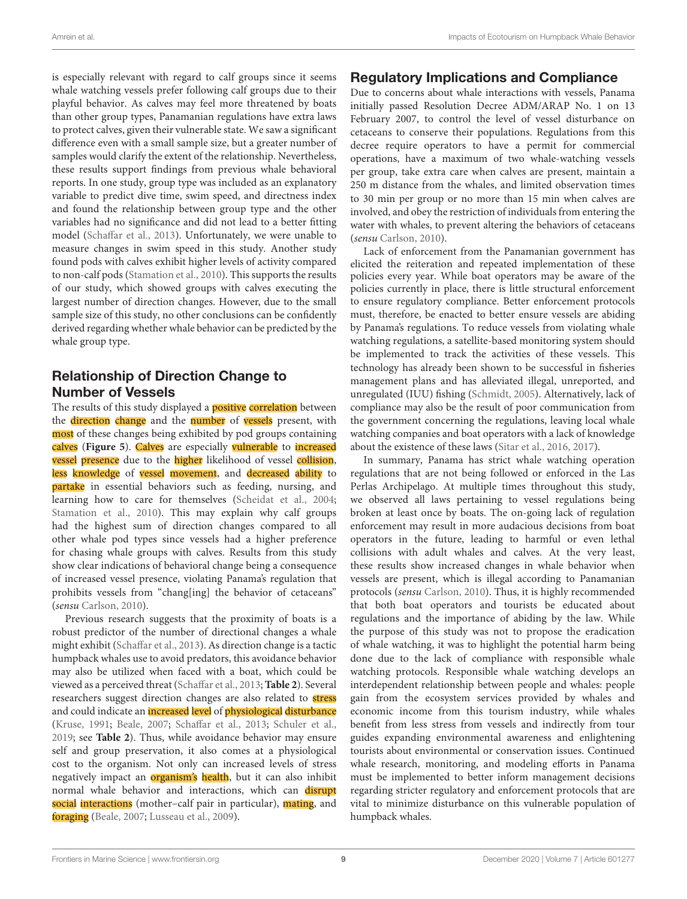is especially relevant with regard to calf groups since it seems whale watching vessels prefer following calf groups due to their playful behavior. As calves may feel more threatened by boats than other group types, Panamanian regulations have extra laws to protect calves, given their vulnerable state. We saw a significant difference even with a small sample size, but a greater number of samples would clarify the extent of the relationship. Nevertheless, these results support findings from previous whale behavioral reports. In one study, group type was included as an explanatory variable to predict dive time, swim speed, and directness index and found the relationship between group type and the other variables had no significance and did not lead to a better fitting model [\(Schaffar et al.,](#page-11-13) [2013\)](#page-11-13). Unfortunately, we were unable to measure changes in swim speed in this study. Another study found pods with calves exhibit higher levels of activity compared to non-calf pods [\(Stamation et al.,](#page-12-7) [2010\)](#page-12-7). This supports the results of our study, which showed groups with calves executing the largest number of direction changes. However, due to the small sample size of this study, no other conclusions can be confidently derived regarding whether whale behavior can be predicted by the whale group type.

### Relationship of Direction Change to Number of Vessels

The results of this study displayed a **positive correlation** between the direction change and the number of vessels present, with most of these changes being exhibited by pod groups containing calves ([Figure 5](#page-6-1)). Calves are especially vulnerable to increased **vessel presence** due to the **higher** likelihood of vessel collision, less knowledge of vessel movement, and decreased ability to partake in essential behaviors such as feeding, nursing, and learning how to care for themselves [\(Scheidat et al.,](#page-12-16) [2004;](#page-12-16) [Stamation et al.,](#page-12-7) [2010\)](#page-12-7). This may explain why calf groups had the highest sum of direction changes compared to all other whale pod types since vessels had a higher preference for chasing whale groups with calves. Results from this study show clear indications of behavioral change being a consequence of increased vessel presence, violating Panama's regulation that prohibits vessels from "chang[ing] the behavior of cetaceans" (sensu [Carlson,](#page-10-37) [2010\)](#page-10-37).

Previous research suggests that the proximity of boats is a robust predictor of the number of directional changes a whale might exhibit [\(Schaffar et al.,](#page-11-13) [2013\)](#page-11-13). As direction change is a tactic humpback whales use to avoid predators, this avoidance behavior may also be utilized when faced with a boat, which could be viewed as a perceived threat [\(Schaffar et al.,](#page-11-13) [2013;](#page-11-13) **[Table 2](#page-7-0)**). Several researchers suggest direction changes are also related to stress and could indicate an increased level of physiological disturbance [\(Kruse,](#page-11-37) [1991;](#page-11-37) [Beale,](#page-10-38) [2007;](#page-10-38) [Schaffar et al.,](#page-11-13) [2013;](#page-11-13) [Schuler et al.,](#page-12-13) [2019;](#page-12-13) see **[Table 2](#page-7-0)**). Thus, while avoidance behavior may ensure self and group preservation, it also comes at a physiological cost to the organism. Not only can increased levels of stress negatively impact an **organism's health**, but it can also inhibit normal whale behavior and interactions, which can disrupt social interactions (mother-calf pair in particular), mating, and foraging [\(Beale,](#page-10-38) [2007;](#page-10-38) [Lusseau et al.,](#page-11-38) [2009\)](#page-11-38).

## Regulatory Implications and Compliance

Due to concerns about whale interactions with vessels, Panama initially passed Resolution Decree ADM/ARAP No. 1 on 13 February 2007, to control the level of vessel disturbance on cetaceans to conserve their populations. Regulations from this decree require operators to have a permit for commercial operations, have a maximum of two whale-watching vessels per group, take extra care when calves are present, maintain a 250 m distance from the whales, and limited observation times to 30 min per group or no more than 15 min when calves are involved, and obey the restriction of individuals from entering the water with whales, to prevent altering the behaviors of cetaceans (sensu [Carlson,](#page-10-37) [2010\)](#page-10-37).

Lack of enforcement from the Panamanian government has elicited the reiteration and repeated implementation of these policies every year. While boat operators may be aware of the policies currently in place, there is little structural enforcement to ensure regulatory compliance. Better enforcement protocols must, therefore, be enacted to better ensure vessels are abiding by Panama's regulations. To reduce vessels from violating whale watching regulations, a satellite-based monitoring system should be implemented to track the activities of these vessels. This technology has already been shown to be successful in fisheries management plans and has alleviated illegal, unreported, and unregulated (IUU) fishing [\(Schmidt,](#page-12-17) [2005\)](#page-12-17). Alternatively, lack of compliance may also be the result of poor communication from the government concerning the regulations, leaving local whale watching companies and boat operators with a lack of knowledge about the existence of these laws [\(Sitar et al.,](#page-12-5) [2016,](#page-12-5) [2017\)](#page-12-18).

In summary, Panama has strict whale watching operation regulations that are not being followed or enforced in the Las Perlas Archipelago. At multiple times throughout this study, we observed all laws pertaining to vessel regulations being broken at least once by boats. The on-going lack of regulation enforcement may result in more audacious decisions from boat operators in the future, leading to harmful or even lethal collisions with adult whales and calves. At the very least, these results show increased changes in whale behavior when vessels are present, which is illegal according to Panamanian protocols (sensu [Carlson,](#page-10-37) [2010\)](#page-10-37). Thus, it is highly recommended that both boat operators and tourists be educated about regulations and the importance of abiding by the law. While the purpose of this study was not to propose the eradication of whale watching, it was to highlight the potential harm being done due to the lack of compliance with responsible whale watching protocols. Responsible whale watching develops an interdependent relationship between people and whales: people gain from the ecosystem services provided by whales and economic income from this tourism industry, while whales benefit from less stress from vessels and indirectly from tour guides expanding environmental awareness and enlightening tourists about environmental or conservation issues. Continued whale research, monitoring, and modeling efforts in Panama must be implemented to better inform management decisions regarding stricter regulatory and enforcement protocols that are vital to minimize disturbance on this vulnerable population of humpback whales.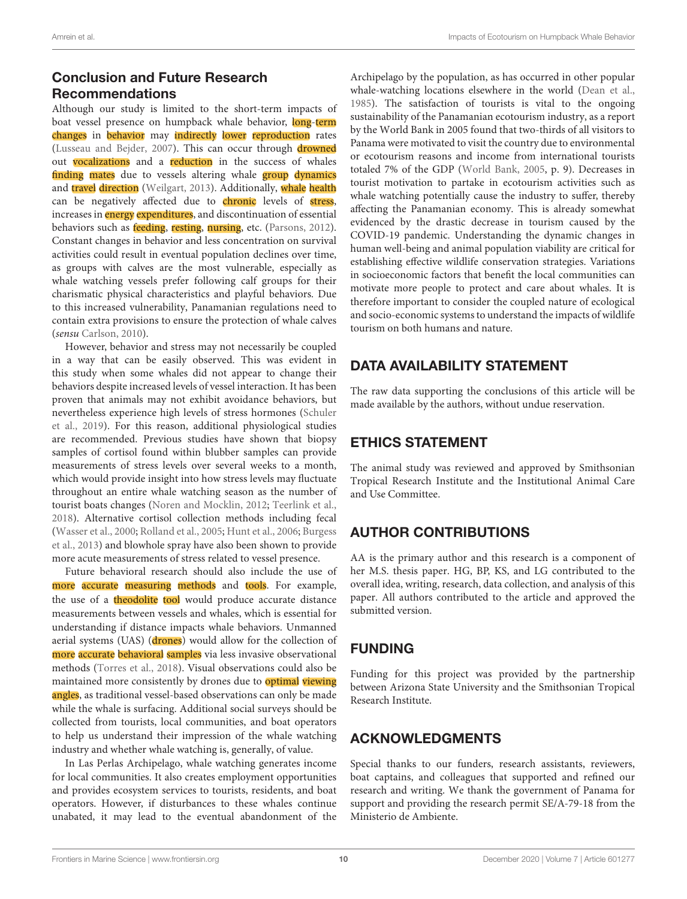### Conclusion and Future Research Recommendations

Although our study is limited to the short-term impacts of boat vessel presence on humpback whale behavior, long-term changes in behavior may indirectly lower reproduction rates [\(Lusseau and Bejder,](#page-11-36) [2007\)](#page-11-36). This can occur through drowned out vocalizations and a reduction in the success of whales finding mates due to vessels altering whale group dynamics and travel direction [\(Weilgart,](#page-12-19) [2013\)](#page-12-19). Additionally, whale health can be negatively affected due to *chronic* levels of stress, increases in **energy expenditures**, and discontinuation of essential behaviors such as *feeding*, *resting*, *nursing*, *etc.* [\(Parsons,](#page-11-4) [2012\)](#page-11-4). Constant changes in behavior and less concentration on survival activities could result in eventual population declines over time, as groups with calves are the most vulnerable, especially as whale watching vessels prefer following calf groups for their charismatic physical characteristics and playful behaviors. Due to this increased vulnerability, Panamanian regulations need to contain extra provisions to ensure the protection of whale calves (sensu [Carlson,](#page-10-37) [2010\)](#page-10-37).

However, behavior and stress may not necessarily be coupled in a way that can be easily observed. This was evident in this study when some whales did not appear to change their behaviors despite increased levels of vessel interaction. It has been proven that animals may not exhibit avoidance behaviors, but nevertheless experience high levels of stress hormones [\(Schuler](#page-12-13) [et al.,](#page-12-13) [2019\)](#page-12-13). For this reason, additional physiological studies are recommended. Previous studies have shown that biopsy samples of cortisol found within blubber samples can provide measurements of stress levels over several weeks to a month, which would provide insight into how stress levels may fluctuate throughout an entire whale watching season as the number of tourist boats changes [\(Noren and Mocklin,](#page-11-39) [2012;](#page-11-39) [Teerlink et al.,](#page-12-20) [2018\)](#page-12-20). Alternative cortisol collection methods including fecal [\(Wasser et al.,](#page-12-21) [2000;](#page-12-21) [Rolland et al.,](#page-11-40) [2005;](#page-11-40) [Hunt et al.,](#page-11-41) [2006;](#page-11-41) [Burgess](#page-10-39) [et al.,](#page-10-39) [2013\)](#page-10-39) and blowhole spray have also been shown to provide more acute measurements of stress related to vessel presence.

Future behavioral research should also include the use of more accurate measuring methods and tools. For example, the use of a **theodolite** tool would produce accurate distance measurements between vessels and whales, which is essential for understanding if distance impacts whale behaviors. Unmanned aerial systems (UAS) (drones) would allow for the collection of more accurate behavioral samples via less invasive observational methods [\(Torres et al.,](#page-12-22) [2018\)](#page-12-22). Visual observations could also be maintained more consistently by drones due to **optimal** viewing angles, as traditional vessel-based observations can only be made while the whale is surfacing. Additional social surveys should be collected from tourists, local communities, and boat operators to help us understand their impression of the whale watching industry and whether whale watching is, generally, of value.

In Las Perlas Archipelago, whale watching generates income for local communities. It also creates employment opportunities and provides ecosystem services to tourists, residents, and boat operators. However, if disturbances to these whales continue unabated, it may lead to the eventual abandonment of the

Archipelago by the population, as has occurred in other popular whale-watching locations elsewhere in the world [\(Dean et al.,](#page-10-40) [1985\)](#page-10-40). The satisfaction of tourists is vital to the ongoing sustainability of the Panamanian ecotourism industry, as a report by the World Bank in 2005 found that two-thirds of all visitors to Panama were motivated to visit the country due to environmental or ecotourism reasons and income from international tourists totaled 7% of the GDP [\(World Bank,](#page-12-23) [2005,](#page-12-23) p. 9). Decreases in tourist motivation to partake in ecotourism activities such as whale watching potentially cause the industry to suffer, thereby affecting the Panamanian economy. This is already somewhat evidenced by the drastic decrease in tourism caused by the COVID-19 pandemic. Understanding the dynamic changes in human well-being and animal population viability are critical for establishing effective wildlife conservation strategies. Variations in socioeconomic factors that benefit the local communities can motivate more people to protect and care about whales. It is therefore important to consider the coupled nature of ecological and socio-economic systems to understand the impacts of wildlife tourism on both humans and nature.

# DATA AVAILABILITY STATEMENT

The raw data supporting the conclusions of this article will be made available by the authors, without undue reservation.

## ETHICS STATEMENT

The animal study was reviewed and approved by Smithsonian Tropical Research Institute and the Institutional Animal Care and Use Committee.

## AUTHOR CONTRIBUTIONS

AA is the primary author and this research is a component of her M.S. thesis paper. HG, BP, KS, and LG contributed to the overall idea, writing, research, data collection, and analysis of this paper. All authors contributed to the article and approved the submitted version.

## FUNDING

Funding for this project was provided by the partnership between Arizona State University and the Smithsonian Tropical Research Institute.

## ACKNOWLEDGMENTS

Special thanks to our funders, research assistants, reviewers, boat captains, and colleagues that supported and refined our research and writing. We thank the government of Panama for support and providing the research permit SE/A-79-18 from the Ministerio de Ambiente.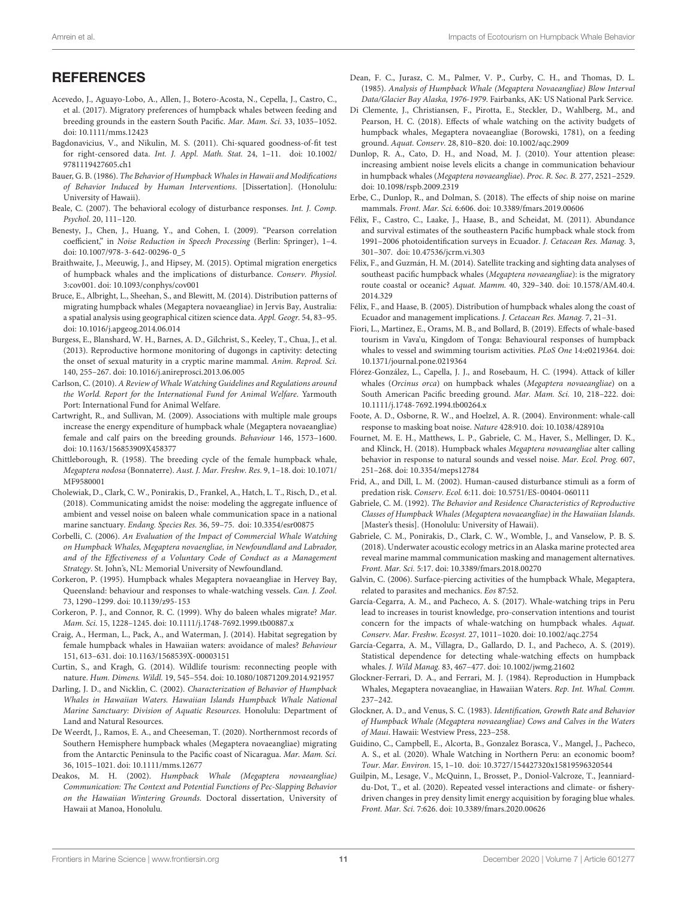### **REFERENCES**

- <span id="page-10-11"></span>Acevedo, J., Aguayo-Lobo, A., Allen, J., Botero-Acosta, N., Cepella, J., Castro, C., et al. (2017). Migratory preferences of humpback whales between feeding and breeding grounds in the eastern South Pacific. Mar. Mam. Sci. 33, 1035–1052. [doi: 10.1111/mms.12423](https://doi.org/10.1111/mms.12423)
- <span id="page-10-28"></span>Bagdonavicius, V., and Nikulin, M. S. (2011). Chi-squared goodness-of-fit test for right-censored data. Int. J. Appl. Math. Stat. 24, 1–11. [doi: 10.1002/](https://doi.org/10.1002/9781119427605.ch1) [9781119427605.ch1](https://doi.org/10.1002/9781119427605.ch1)
- <span id="page-10-26"></span>Bauer, G. B. (1986). The Behavior of Humpback Whales in Hawaii and Modifications of Behavior Induced by Human Interventions. [Dissertation]. (Honolulu: University of Hawaii).
- <span id="page-10-38"></span>Beale, C. (2007). The behavioral ecology of disturbance responses. Int. J. Comp. Psychol. 20, 111–120.
- <span id="page-10-29"></span>Benesty, J., Chen, J., Huang, Y., and Cohen, I. (2009). "Pearson correlation coefficient," in Noise Reduction in Speech Processing (Berlin: Springer), 1–4. [doi: 10.1007/978-3-642-00296-0\\_5](https://doi.org/10.1007/978-3-642-00296-0_5)
- <span id="page-10-8"></span>Braithwaite, J., Meeuwig, J., and Hipsey, M. (2015). Optimal migration energetics of humpback whales and the implications of disturbance. Conserv. Physiol. 3:cov001. [doi: 10.1093/conphys/cov001](https://doi.org/10.1093/conphys/cov001)
- <span id="page-10-16"></span>Bruce, E., Albright, L., Sheehan, S., and Blewitt, M. (2014). Distribution patterns of migrating humpback whales (Megaptera novaeangliae) in Jervis Bay, Australia: a spatial analysis using geographical citizen science data. Appl. Geogr. 54, 83–95. [doi: 10.1016/j.apgeog.2014.06.014](https://doi.org/10.1016/j.apgeog.2014.06.014)
- <span id="page-10-39"></span>Burgess, E., Blanshard, W. H., Barnes, A. D., Gilchrist, S., Keeley, T., Chua, J., et al. (2013). Reproductive hormone monitoring of dugongs in captivity: detecting the onset of sexual maturity in a cryptic marine mammal. Anim. Reprod. Sci. 140, 255–267. [doi: 10.1016/j.anireprosci.2013.06.005](https://doi.org/10.1016/j.anireprosci.2013.06.005)
- <span id="page-10-37"></span>Carlson, C. (2010). A Review of Whale Watching Guidelines and Regulations around the World. Report for the International Fund for Animal Welfare. Yarmouth Port: International Fund for Animal Welfare.
- <span id="page-10-21"></span>Cartwright, R., and Sullivan, M. (2009). Associations with multiple male groups increase the energy expenditure of humpback whale (Megaptera novaeangliae) female and calf pairs on the breeding grounds. Behaviour 146, 1573–1600. [doi: 10.1163/156853909X458377](https://doi.org/10.1163/156853909X458377)
- <span id="page-10-23"></span>Chittleborough, R. (1958). The breeding cycle of the female humpback whale, Megaptera nodosa (Bonnaterre). Aust. J. Mar. Freshw. Res. 9, 1–18. [doi: 10.1071/](https://doi.org/10.1071/MF9580001) [MF9580001](https://doi.org/10.1071/MF9580001)
- <span id="page-10-31"></span>Cholewiak, D., Clark, C. W., Ponirakis, D., Frankel, A., Hatch, L. T., Risch, D., et al. (2018). Communicating amidst the noise: modeling the aggregate influence of ambient and vessel noise on baleen whale communication space in a national marine sanctuary. Endang. Species Res. 36, 59–75. [doi: 10.3354/esr00875](https://doi.org/10.3354/esr00875)
- <span id="page-10-3"></span>Corbelli, C. (2006). An Evaluation of the Impact of Commercial Whale Watching on Humpback Whales, Megaptera novaengliae, in Newfoundland and Labrador, and of the Effectiveness of a Voluntary Code of Conduct as a Management Strategy. St. John's, NL: Memorial University of Newfoundland.
- <span id="page-10-27"></span>Corkeron, P. (1995). Humpback whales Megaptera novaeangliae in Hervey Bay, Queensland: behaviour and responses to whale-watching vessels. Can. J. Zool. 73, 1290–1299. [doi: 10.1139/z95-153](https://doi.org/10.1139/z95-153)
- <span id="page-10-19"></span>Corkeron, P. J., and Connor, R. C. (1999). Why do baleen whales migrate? Mar. Mam. Sci. 15, 1228–1245. [doi: 10.1111/j.1748-7692.1999.tb00887.x](https://doi.org/10.1111/j.1748-7692.1999.tb00887.x)
- <span id="page-10-22"></span>Craig, A., Herman, L., Pack, A., and Waterman, J. (2014). Habitat segregation by female humpback whales in Hawaiian waters: avoidance of males? Behaviour 151, 613–631. [doi: 10.1163/1568539X-00003151](https://doi.org/10.1163/1568539X-00003151)
- <span id="page-10-2"></span>Curtin, S., and Kragh, G. (2014). Wildlife tourism: reconnecting people with nature. Hum. Dimens. Wildl. 19, 545–554. [doi: 10.1080/10871209.2014.921957](https://doi.org/10.1080/10871209.2014.921957)
- <span id="page-10-20"></span>Darling, J. D., and Nicklin, C. (2002). Characterization of Behavior of Humpback Whales in Hawaiian Waters. Hawaiian Islands Humpback Whale National Marine Sanctuary: Division of Aquatic Resources. Honolulu: Department of Land and Natural Resources.
- <span id="page-10-13"></span>De Weerdt, J., Ramos, E. A., and Cheeseman, T. (2020). Northernmost records of Southern Hemisphere humpback whales (Megaptera novaeangliae) migrating from the Antarctic Peninsula to the Pacific coast of Nicaragua. Mar. Mam. Sci. 36, 1015–1021. [doi: 10.1111/mms.12677](https://doi.org/10.1111/mms.12677)
- <span id="page-10-33"></span>Deakos, M. H. (2002). Humpback Whale (Megaptera novaeangliae) Communication: The Context and Potential Functions of Pec-Slapping Behavior on the Hawaiian Wintering Grounds. Doctoral dissertation, University of Hawaii at Manoa, Honolulu.
- <span id="page-10-40"></span>Dean, F. C., Jurasz, C. M., Palmer, V. P., Curby, C. H., and Thomas, D. L. (1985). Analysis of Humpback Whale (Megaptera Novaeangliae) Blow Interval Data/Glacier Bay Alaska, 1976-1979. Fairbanks, AK: US National Park Service.
- <span id="page-10-36"></span>Di Clemente, J., Christiansen, F., Pirotta, E., Steckler, D., Wahlberg, M., and Pearson, H. C. (2018). Effects of whale watching on the activity budgets of humpback whales, Megaptera novaeangliae (Borowski, 1781), on a feeding ground. Aquat. Conserv. 28, 810–820. [doi: 10.1002/aqc.2909](https://doi.org/10.1002/aqc.2909)
- <span id="page-10-30"></span>Dunlop, R. A., Cato, D. H., and Noad, M. J. (2010). Your attention please: increasing ambient noise levels elicits a change in communication behaviour in humpback whales (Megaptera novaeangliae). Proc. R. Soc. B. 277, 2521–2529. [doi: 10.1098/rspb.2009.2319](https://doi.org/10.1098/rspb.2009.2319)
- <span id="page-10-9"></span>Erbe, C., Dunlop, R., and Dolman, S. (2018). The effects of ship noise on marine mammals. Front. Mar. Sci. 6:606. [doi: 10.3389/fmars.2019.00606](https://doi.org/10.3389/fmars.2019.00606)
- <span id="page-10-14"></span>Félix, F., Castro, C., Laake, J., Haase, B., and Scheidat, M. (2011). Abundance and survival estimates of the southeastern Pacific humpback whale stock from 1991–2006 photoidentification surveys in Ecuador. J. Cetacean Res. Manag. 3, 301–307. [doi: 10.47536/jcrm.vi.303](https://doi.org/10.47536/jcrm.vi.303)
- <span id="page-10-12"></span>Félix, F., and Guzmán, H. M. (2014). Satellite tracking and sighting data analyses of southeast pacific humpback whales (Megaptera novaeangliae): is the migratory route coastal or oceanic? Aquat. Mamm. 40, 329–340. [doi: 10.1578/AM.40.4.](https://doi.org/10.1578/AM.40.4.2014.329) [2014.329](https://doi.org/10.1578/AM.40.4.2014.329)
- <span id="page-10-17"></span>Félix, F., and Haase, B. (2005). Distribution of humpback whales along the coast of Ecuador and management implications. J. Cetacean Res. Manag. 7, 21–31.
- <span id="page-10-6"></span>Fiori, L., Martinez, E., Orams, M. B., and Bollard, B. (2019). Effects of whale-based tourism in Vava'u, Kingdom of Tonga: Behavioural responses of humpback whales to vessel and swimming tourism activities. PLoS One 14:e0219364. [doi:](https://doi.org/10.1371/journal.pone.0219364) [10.1371/journal.pone.0219364](https://doi.org/10.1371/journal.pone.0219364)
- <span id="page-10-18"></span>Flórez-González, L., Capella, J. J., and Rosebaum, H. C. (1994). Attack of killer whales (Orcinus orca) on humpback whales (Megaptera novaeangliae) on a South American Pacific breeding ground. Mar. Mam. Sci. 10, 218–222. [doi:](https://doi.org/10.1111/j.1748-7692.1994.tb00264.x) [10.1111/j.1748-7692.1994.tb00264.x](https://doi.org/10.1111/j.1748-7692.1994.tb00264.x)
- <span id="page-10-10"></span>Foote, A. D., Osborne, R. W., and Hoelzel, A. R. (2004). Environment: whale-call response to masking boat noise. Nature 428:910. [doi: 10.1038/428910a](https://doi.org/10.1038/428910a)
- <span id="page-10-5"></span>Fournet, M. E. H., Matthews, L. P., Gabriele, C. M., Haver, S., Mellinger, D. K., and Klinck, H. (2018). Humpback whales Megaptera novaeangliae alter calling behavior in response to natural sounds and vessel noise. Mar. Ecol. Prog. 607, 251–268. [doi: 10.3354/meps12784](https://doi.org/10.3354/meps12784)
- <span id="page-10-4"></span>Frid, A., and Dill, L. M. (2002). Human-caused disturbance stimuli as a form of predation risk. Conserv. Ecol. 6:11. [doi: 10.5751/ES-00404-060111](https://doi.org/10.5751/ES-00404-060111)
- <span id="page-10-25"></span>Gabriele, C. M. (1992). The Behavior and Residence Characteristics of Reproductive Classes of Humpback Whales (Megaptera novaeangliae) in the Hawaiian Islands. [Master's thesis]. (Honolulu: University of Hawaii).
- <span id="page-10-32"></span>Gabriele, C. M., Ponirakis, D., Clark, C. W., Womble, J., and Vanselow, P. B. S. (2018). Underwater acoustic ecology metrics in an Alaska marine protected area reveal marine mammal communication masking and management alternatives. Front. Mar. Sci. 5:17. [doi: 10.3389/fmars.2018.00270](https://doi.org/10.3389/fmars.2018.00270)
- <span id="page-10-34"></span>Galvin, C. (2006). Surface-piercing activities of the humpback Whale, Megaptera, related to parasites and mechanics. Eos 87:52.
- <span id="page-10-1"></span>García-Cegarra, A. M., and Pacheco, A. S. (2017). Whale-watching trips in Peru lead to increases in tourist knowledge, pro-conservation intentions and tourist concern for the impacts of whale-watching on humpback whales. Aquat. Conserv. Mar. Freshw. Ecosyst. 27, 1011–1020. [doi: 10.1002/aqc.2754](https://doi.org/10.1002/aqc.2754)
- <span id="page-10-7"></span>García-Cegarra, A. M., Villagra, D., Gallardo, D. I., and Pacheco, A. S. (2019). Statistical dependence for detecting whale-watching effects on humpback whales. J. Wild Manag. 83, 467–477. [doi: 10.1002/jwmg.21602](https://doi.org/10.1002/jwmg.21602)
- <span id="page-10-24"></span>Glockner-Ferrari, D. A., and Ferrari, M. J. (1984). Reproduction in Humpback Whales, Megaptera novaeangliae, in Hawaiian Waters. Rep. Int. Whal. Comm. 237–242.
- <span id="page-10-15"></span>Glockner, A. D., and Venus, S. C. (1983). Identification, Growth Rate and Behavior of Humpback Whale (Megaptera novaeangliae) Cows and Calves in the Waters of Maui. Hawaii: Westview Press, 223–258.
- <span id="page-10-0"></span>Guidino, C., Campbell, E., Alcorta, B., Gonzalez Borasca, V., Mangel, J., Pacheco, A. S., et al. (2020). Whale Watching in Northern Peru: an economic boom? Tour. Mar. Environ. 15, 1–10. [doi: 10.3727/154427320x15819596320544](https://doi.org/10.3727/154427320x15819596320544)
- <span id="page-10-35"></span>Guilpin, M., Lesage, V., McQuinn, I., Brosset, P., Doniol-Valcroze, T., Jeanniarddu-Dot, T., et al. (2020). Repeated vessel interactions and climate- or fisherydriven changes in prey density limit energy acquisition by foraging blue whales. Front. Mar. Sci. 7:626. [doi: 10.3389/fmars.2020.00626](https://doi.org/10.3389/fmars.2020.00626)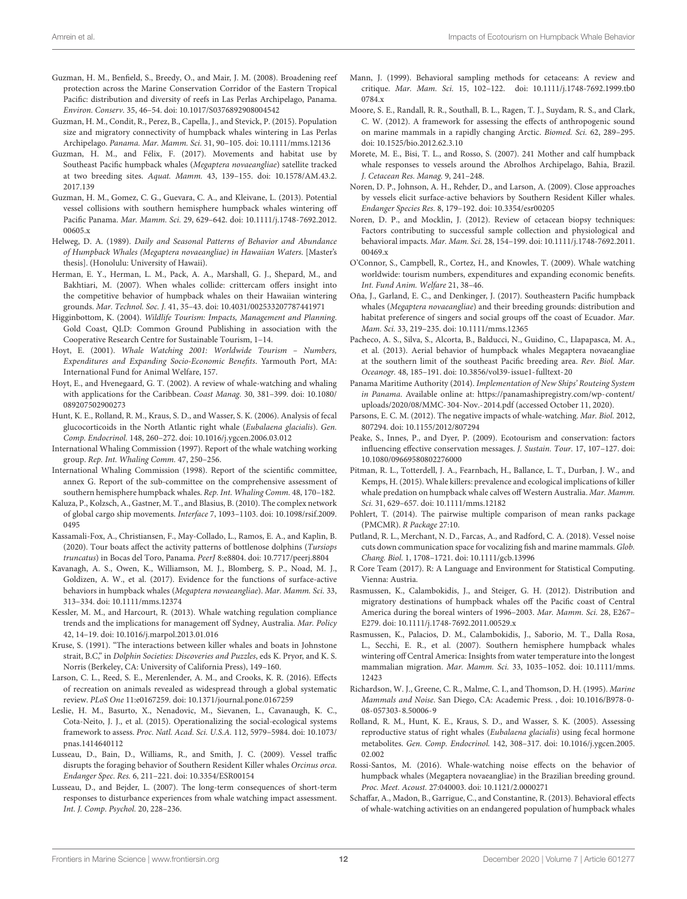- <span id="page-11-23"></span>Guzman, H. M., Benfield, S., Breedy, O., and Mair, J. M. (2008). Broadening reef protection across the Marine Conservation Corridor of the Eastern Tropical Pacific: distribution and diversity of reefs in Las Perlas Archipelago, Panama. Environ. Conserv. 35, 46–54. [doi: 10.1017/S0376892908004542](https://doi.org/10.1017/S0376892908004542)
- <span id="page-11-17"></span>Guzman, H. M., Condit, R., Perez, B., Capella, J., and Stevick, P. (2015). Population size and migratory connectivity of humpback whales wintering in Las Perlas Archipelago. Panama. Mar. Mamm. Sci. 31, 90–105. [doi: 10.1111/mms.12136](https://doi.org/10.1111/mms.12136)
- <span id="page-11-21"></span>Guzman, H. M., and Félix, F. (2017). Movements and habitat use by Southeast Pacific humpback whales (Megaptera novaeangliae) satellite tracked at two breeding sites. Aquat. Mamm. 43, 139–155. [doi: 10.1578/AM.43.2.](https://doi.org/10.1578/AM.43.2.2017.139) [2017.139](https://doi.org/10.1578/AM.43.2.2017.139)
- <span id="page-11-11"></span>Guzman, H. M., Gomez, C. G., Guevara, C. A., and Kleivane, L. (2013). Potential vessel collisions with southern hemisphere humpback whales wintering off Pacific Panama. Mar. Mamm. Sci. 29, 629–642. [doi: 10.1111/j.1748-7692.2012.](https://doi.org/10.1111/j.1748-7692.2012.00605.x) [00605.x](https://doi.org/10.1111/j.1748-7692.2012.00605.x)
- <span id="page-11-26"></span>Helweg, D. A. (1989). Daily and Seasonal Patterns of Behavior and Abundance of Humpback Whales (Megaptera novaeangliae) in Hawaiian Waters. [Master's thesis]. (Honolulu: University of Hawaii).
- <span id="page-11-25"></span>Herman, E. Y., Herman, L. M., Pack, A. A., Marshall, G. J., Shepard, M., and Bakhtiari, M. (2007). When whales collide: crittercam offers insight into the competitive behavior of humpback whales on their Hawaiian wintering grounds. Mar. Technol. Soc. J. 41, 35–43. [doi: 10.4031/002533207787441971](https://doi.org/10.4031/002533207787441971)
- <span id="page-11-0"></span>Higginbottom, K. (2004). Wildlife Tourism: Impacts, Management and Planning. Gold Coast, QLD: Common Ground Publishing in association with the Cooperative Research Centre for Sustainable Tourism, 1–14.
- <span id="page-11-1"></span>Hoyt, E. (2001). Whale Watching 2001: Worldwide Tourism – Numbers, Expenditures and Expanding Socio-Economic Benefits. Yarmouth Port, MA: International Fund for Animal Welfare, 157.
- <span id="page-11-3"></span>Hoyt, E., and Hvenegaard, G. T. (2002). A review of whale-watching and whaling with applications for the Caribbean. Coast Manag. 30, 381–399. [doi: 10.1080/](https://doi.org/10.1080/089207502900273) [089207502900273](https://doi.org/10.1080/089207502900273)
- <span id="page-11-41"></span>Hunt, K. E., Rolland, R. M., Kraus, S. D., and Wasser, S. K. (2006). Analysis of fecal glucocorticoids in the North Atlantic right whale (Eubalaena glacialis). Gen. Comp. Endocrinol. 148, 260–272. [doi: 10.1016/j.ygcen.2006.03.012](https://doi.org/10.1016/j.ygcen.2006.03.012)
- <span id="page-11-10"></span>International Whaling Commission (1997). Report of the whale watching working group. Rep. Int. Whaling Comm. 47, 250–256.
- <span id="page-11-18"></span>International Whaling Commission (1998). Report of the scientific committee, annex G. Report of the sub-committee on the comprehensive assessment of southern hemisphere humpback whales. Rep. Int. Whaling Comm. 48, 170–182.
- <span id="page-11-34"></span>Kaluza, P., Kolzsch, A., Gastner, M. T., and Blasius, B. (2010). The complex network of global cargo ship movements. Interface 7, 1093–1103. [doi: 10.1098/rsif.2009.](https://doi.org/10.1098/rsif.2009.0495) [0495](https://doi.org/10.1098/rsif.2009.0495)
- <span id="page-11-8"></span>Kassamali-Fox, A., Christiansen, F., May-Collado, L., Ramos, E. A., and Kaplin, B. (2020). Tour boats affect the activity patterns of bottlenose dolphins (Tursiops truncatus) in Bocas del Toro, Panama. PeerJ 8:e8804. [doi: 10.7717/peerj.8804](https://doi.org/10.7717/peerj.8804)
- <span id="page-11-29"></span>Kavanagh, A. S., Owen, K., Williamson, M. J., Blomberg, S. P., Noad, M. J., Goldizen, A. W., et al. (2017). Evidence for the functions of surface-active behaviors in humpback whales (Megaptera novaeangliae). Mar. Mamm. Sci. 33, 313–334. [doi: 10.1111/mms.12374](https://doi.org/10.1111/mms.12374)
- <span id="page-11-9"></span>Kessler, M. M., and Harcourt, R. (2013). Whale watching regulation compliance trends and the implications for management off Sydney, Australia. Mar. Policy 42, 14–19. [doi: 10.1016/j.marpol.2013.01.016](https://doi.org/10.1016/j.marpol.2013.01.016)
- <span id="page-11-37"></span>Kruse, S. (1991). "The interactions between killer whales and boats in Johnstone strait, B.C," in Dolphin Societies: Discoveries and Puzzles, eds K. Pryor, and K. S. Norris (Berkeley, CA: University of California Press), 149–160.
- <span id="page-11-6"></span>Larson, C. L., Reed, S. E., Merenlender, A. M., and Crooks, K. R. (2016). Effects of recreation on animals revealed as widespread through a global systematic review. PLoS One 11:e0167259. [doi: 10.1371/journal.pone.0167259](https://doi.org/10.1371/journal.pone.0167259)
- <span id="page-11-5"></span>Leslie, H. M., Basurto, X., Nenadovic, M., Sievanen, L., Cavanaugh, K. C., Cota-Neito, J. J., et al. (2015). Operationalizing the social-ecological systems framework to assess. Proc. Natl. Acad. Sci. U.S.A. 112, 5979–5984. [doi: 10.1073/](https://doi.org/10.1073/pnas.1414640112) [pnas.1414640112](https://doi.org/10.1073/pnas.1414640112)
- <span id="page-11-38"></span>Lusseau, D., Bain, D., Williams, R., and Smith, J. C. (2009). Vessel traffic disrupts the foraging behavior of Southern Resident Killer whales Orcinus orca. Endanger Spec. Res. 6, 211–221. [doi: 10.3354/ESR00154](https://doi.org/10.3354/ESR00154)
- <span id="page-11-36"></span>Lusseau, D., and Bejder, L. (2007). The long-term consequences of short-term responses to disturbance experiences from whale watching impact assessment. Int. J. Comp. Psychol. 20, 228–236.
- <span id="page-11-24"></span>Mann, J. (1999). Behavioral sampling methods for cetaceans: A review and critique. Mar. Mam. Sci. 15, 102–122. [doi: 10.1111/j.1748-7692.1999.tb0](https://doi.org/10.1111/j.1748-7692.1999.tb00784.x) 0784 v
- <span id="page-11-31"></span>Moore, S. E., Randall, R. R., Southall, B. L., Ragen, T. J., Suydam, R. S., and Clark, C. W. (2012). A framework for assessing the effects of anthropogenic sound on marine mammals in a rapidly changing Arctic. Biomed. Sci. 62, 289–295. [doi: 10.1525/bio.2012.62.3.10](https://doi.org/10.1525/bio.2012.62.3.10)
- <span id="page-11-12"></span>Morete, M. E., Bisi, T. L., and Rosso, S. (2007). 241 Mother and calf humpback whale responses to vessels around the Abrolhos Archipelago, Bahia, Brazil. J. Cetacean Res. Manag. 9, 241–248.
- <span id="page-11-33"></span>Noren, D. P., Johnson, A. H., Rehder, D., and Larson, A. (2009). Close approaches by vessels elicit surface-active behaviors by Southern Resident Killer whales. Endanger Species Res. 8, 179–192. [doi: 10.3354/esr00205](https://doi.org/10.3354/esr00205)
- <span id="page-11-39"></span>Noren, D. P., and Mocklin, J. (2012). Review of cetacean biopsy techniques: Factors contributing to successful sample collection and physiological and behavioral impacts. Mar. Mam. Sci. 28, 154–199. [doi: 10.1111/j.1748-7692.2011.](https://doi.org/10.1111/j.1748-7692.2011.00469.x) [00469.x](https://doi.org/10.1111/j.1748-7692.2011.00469.x)
- <span id="page-11-2"></span>O'Connor, S., Campbell, R., Cortez, H., and Knowles, T. (2009). Whale watching worldwide: tourism numbers, expenditures and expanding economic benefits. Int. Fund Anim. Welfare 21, 38–46.
- <span id="page-11-19"></span>Oña, J., Garland, E. C., and Denkinger, J. (2017). Southeastern Pacific humpback whales (Megaptera novaeangliae) and their breeding grounds: distribution and habitat preference of singers and social groups off the coast of Ecuador. Mar. Mam. Sci. 33, 219–235. [doi: 10.1111/mms.12365](https://doi.org/10.1111/mms.12365)
- <span id="page-11-32"></span>Pacheco, A. S., Silva, S., Alcorta, B., Balducci, N., Guidino, C., Llapapasca, M. A., et al. (2013). Aerial behavior of humpback whales Megaptera novaeangliae at the southern limit of the southeast Pacific breeding area. Rev. Biol. Mar. Oceanogr. 48, 185–191. [doi: 10.3856/vol39-issue1-fulltext-20](https://doi.org/10.3856/vol39-issue1-fulltext-20)
- <span id="page-11-35"></span>Panama Maritime Authority (2014). Implementation of New Ships' Routeing System in Panama. Available online at: [https://panamashipregistry.com/wp-content/](https://panamashipregistry.com/wp-content/uploads/2020/08/MMC-304-Nov.-2014.pdf) [uploads/2020/08/MMC-304-Nov.-2014.pdf](https://panamashipregistry.com/wp-content/uploads/2020/08/MMC-304-Nov.-2014.pdf) (accessed October 11, 2020).
- <span id="page-11-4"></span>Parsons, E. C. M. (2012). The negative impacts of whale-watching. Mar. Biol. 2012, 807294. [doi: 10.1155/2012/807294](https://doi.org/10.1155/2012/807294)
- <span id="page-11-7"></span>Peake, S., Innes, P., and Dyer, P. (2009). Ecotourism and conservation: factors influencing effective conservation messages. J. Sustain. Tour. 17, 107–127. [doi:](https://doi.org/10.1080/09669580802276000) [10.1080/09669580802276000](https://doi.org/10.1080/09669580802276000)
- <span id="page-11-22"></span>Pitman, R. L., Totterdell, J. A., Fearnbach, H., Ballance, L. T., Durban, J. W., and Kemps, H. (2015). Whale killers: prevalence and ecological implications of killer whale predation on humpback whale calves off Western Australia. Mar. Mamm. Sci. 31, 629–657. [doi: 10.1111/mms.12182](https://doi.org/10.1111/mms.12182)
- <span id="page-11-27"></span>Pohlert, T. (2014). The pairwise multiple comparison of mean ranks package (PMCMR). R Package 27:10.
- <span id="page-11-15"></span>Putland, R. L., Merchant, N. D., Farcas, A., and Radford, C. A. (2018). Vessel noise cuts down communication space for vocalizing fish and marine mammals. Glob. Chang. Biol. 1, 1708–1721. [doi: 10.1111/gcb.13996](https://doi.org/10.1111/gcb.13996)
- <span id="page-11-28"></span>R Core Team (2017). R: A Language and Environment for Statistical Computing. Vienna: Austria.
- <span id="page-11-20"></span>Rasmussen, K., Calambokidis, J., and Steiger, G. H. (2012). Distribution and migratory destinations of humpback whales off the Pacific coast of Central America during the boreal winters of 1996–2003. Mar. Mamm. Sci. 28, E267– E279. [doi: 10.1111/j.1748-7692.2011.00529.x](https://doi.org/10.1111/j.1748-7692.2011.00529.x)
- <span id="page-11-16"></span>Rasmussen, K., Palacios, D. M., Calambokidis, J., Saborio, M. T., Dalla Rosa, L., Secchi, E. R., et al. (2007). Southern hemisphere humpback whales wintering off Central America: Insights from water temperature into the longest mammalian migration. Mar. Mamm. Sci. 33, 1035–1052. [doi: 10.1111/mms.](https://doi.org/10.1111/mms.12423) [12423](https://doi.org/10.1111/mms.12423)
- <span id="page-11-30"></span>Richardson, W. J., Greene, C. R., Malme, C. I., and Thomson, D. H. (1995). Marine Mammals and Noise. San Diego, CA: Academic Press. , [doi: 10.1016/B978-0-](https://doi.org/10.1016/B978-0-08-057303-8.50006-9) [08-057303-8.50006-9](https://doi.org/10.1016/B978-0-08-057303-8.50006-9)
- <span id="page-11-40"></span>Rolland, R. M., Hunt, K. E., Kraus, S. D., and Wasser, S. K. (2005). Assessing reproductive status of right whales (Eubalaena glacialis) using fecal hormone metabolites. Gen. Comp. Endocrinol. 142, 308–317. [doi: 10.1016/j.ygcen.2005.](https://doi.org/10.1016/j.ygcen.2005.02.002) [02.002](https://doi.org/10.1016/j.ygcen.2005.02.002)
- <span id="page-11-14"></span>Rossi-Santos, M. (2016). Whale-watching noise effects on the behavior of humpback whales (Megaptera novaeangliae) in the Brazilian breeding ground. Proc. Meet. Acoust. 27:040003. [doi: 10.1121/2.0000271](https://doi.org/10.1121/2.0000271)
- <span id="page-11-13"></span>Schaffar, A., Madon, B., Garrigue, C., and Constantine, R. (2013). Behavioral effects of whale-watching activities on an endangered population of humpback whales